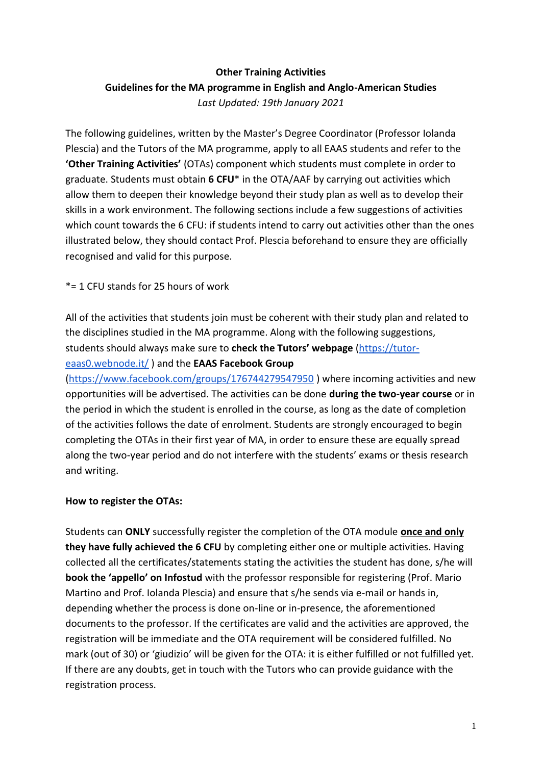# **Other Training Activities Guidelines for the MA programme in English and Anglo-American Studies**  *Last Updated: 19th January 2021*

The following guidelines, written by the Master's Degree Coordinator (Professor Iolanda Plescia) and the Tutors of the MA programme, apply to all EAAS students and refer to the **'Other Training Activities'** (OTAs) component which students must complete in order to graduate. Students must obtain **6 CFU**\* in the OTA/AAF by carrying out activities which allow them to deepen their knowledge beyond their study plan as well as to develop their skills in a work environment. The following sections include a few suggestions of activities which count towards the 6 CFU: if students intend to carry out activities other than the ones illustrated below, they should contact Prof. Plescia beforehand to ensure they are officially recognised and valid for this purpose.

## \*= 1 CFU stands for 25 hours of work

# All of the activities that students join must be coherent with their study plan and related to the disciplines studied in the MA programme. Along with the following suggestions, students should always make sure to **check the Tutors' webpage** [\(https://tutor](https://tutor-eaas0.webnode.it/)[eaas0.webnode.it/](https://tutor-eaas0.webnode.it/) ) and the **EAAS Facebook Group**

[\(https://www.facebook.com/groups/176744279547950](https://www.facebook.com/groups/176744279547950) ) where incoming activities and new opportunities will be advertised. The activities can be done **during the two-year course** or in the period in which the student is enrolled in the course, as long as the date of completion of the activities follows the date of enrolment. Students are strongly encouraged to begin completing the OTAs in their first year of MA, in order to ensure these are equally spread along the two-year period and do not interfere with the students' exams or thesis research and writing.

## **How to register the OTAs:**

Students can **ONLY** successfully register the completion of the OTA module **once and only they have fully achieved the 6 CFU** by completing either one or multiple activities. Having collected all the certificates/statements stating the activities the student has done, s/he will **book the 'appello' on Infostud** with the professor responsible for registering (Prof. Mario Martino and Prof. Iolanda Plescia) and ensure that s/he sends via e-mail or hands in, depending whether the process is done on-line or in-presence, the aforementioned documents to the professor. If the certificates are valid and the activities are approved, the registration will be immediate and the OTA requirement will be considered fulfilled. No mark (out of 30) or 'giudizio' will be given for the OTA: it is either fulfilled or not fulfilled yet. If there are any doubts, get in touch with the Tutors who can provide guidance with the registration process.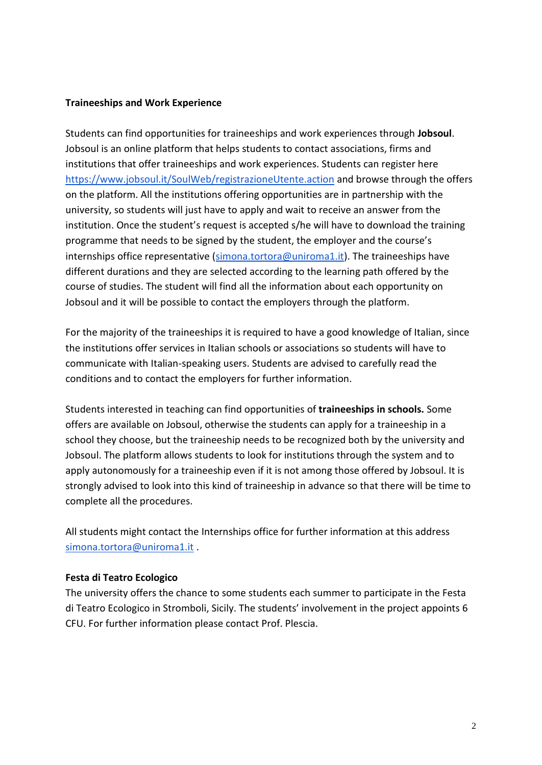### **Traineeships and Work Experience**

Students can find opportunities for traineeships and work experiences through **Jobsoul**. Jobsoul is an online platform that helps students to contact associations, firms and institutions that offer traineeships and work experiences. Students can register here <https://www.jobsoul.it/SoulWeb/registrazioneUtente.action> and browse through the offers on the platform. All the institutions offering opportunities are in partnership with the university, so students will just have to apply and wait to receive an answer from the institution. Once the student's request is accepted s/he will have to download the training programme that needs to be signed by the student, the employer and the course's internships office representative [\(simona.tortora@uniroma1.it\)](mailto:simona.tortora@uniroma1.it). The traineeships have different durations and they are selected according to the learning path offered by the course of studies. The student will find all the information about each opportunity on Jobsoul and it will be possible to contact the employers through the platform.

For the majority of the traineeships it is required to have a good knowledge of Italian, since the institutions offer services in Italian schools or associations so students will have to communicate with Italian-speaking users. Students are advised to carefully read the conditions and to contact the employers for further information.

Students interested in teaching can find opportunities of **traineeships in schools.** Some offers are available on Jobsoul, otherwise the students can apply for a traineeship in a school they choose, but the traineeship needs to be recognized both by the university and Jobsoul. The platform allows students to look for institutions through the system and to apply autonomously for a traineeship even if it is not among those offered by Jobsoul. It is strongly advised to look into this kind of traineeship in advance so that there will be time to complete all the procedures.

All students might contact the Internships office for further information at this address [simona.tortora@uniroma1.it](mailto:simona.tortora@uniroma1.it) .

### **Festa di Teatro Ecologico**

The university offers the chance to some students each summer to participate in the Festa di Teatro Ecologico in Stromboli, Sicily. The students' involvement in the project appoints 6 CFU. For further information please contact Prof. Plescia.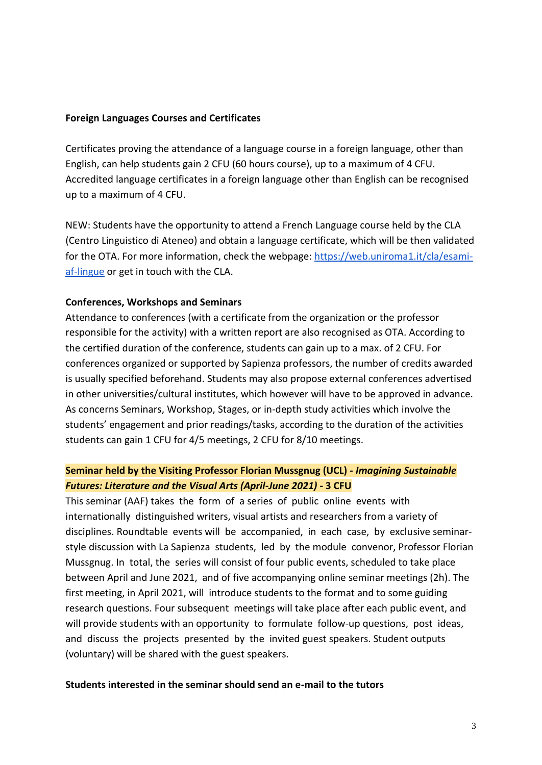### **Foreign Languages Courses and Certificates**

Certificates proving the attendance of a language course in a foreign language, other than English, can help students gain 2 CFU (60 hours course), up to a maximum of 4 CFU. Accredited language certificates in a foreign language other than English can be recognised up to a maximum of 4 CFU.

NEW: Students have the opportunity to attend a French Language course held by the CLA (Centro Linguistico di Ateneo) and obtain a language certificate, which will be then validated for the OTA. For more information, check the webpage[: https://web.uniroma1.it/cla/esami](https://web.uniroma1.it/cla/esami-af-lingue)[af-lingue](https://web.uniroma1.it/cla/esami-af-lingue) or get in touch with the CLA.

#### **Conferences, Workshops and Seminars**

Attendance to conferences (with a certificate from the organization or the professor responsible for the activity) with a written report are also recognised as OTA. According to the certified duration of the conference, students can gain up to a max. of 2 CFU. For conferences organized or supported by Sapienza professors, the number of credits awarded is usually specified beforehand. Students may also propose external conferences advertised in other universities/cultural institutes, which however will have to be approved in advance. As concerns Seminars, Workshop, Stages, or in-depth study activities which involve the students' engagement and prior readings/tasks, according to the duration of the activities students can gain 1 CFU for 4/5 meetings, 2 CFU for 8/10 meetings.

## **Seminar held by the Visiting Professor Florian Mussgnug (UCL) -** *Imagining Sustainable Futures: Literature and the Visual Arts (April-June 2021)* **- 3 CFU**

This seminar (AAF) takes the form of a series of public online events with internationally distinguished writers, visual artists and researchers from a variety of disciplines. Roundtable events will be accompanied, in each case, by exclusive seminarstyle discussion with La Sapienza students, led by the module convenor, Professor Florian Mussgnug. In total, the series will consist of four public events, scheduled to take place between April and June 2021, and of five accompanying online seminar meetings (2h). The first meeting, in April 2021, will introduce students to the format and to some guiding research questions. Four subsequent meetings will take place after each public event, and will provide students with an opportunity to formulate follow-up questions, post ideas, and discuss the projects presented by the invited guest speakers. Student outputs (voluntary) will be shared with the guest speakers.

#### **Students interested in the seminar should send an e-mail to the tutors**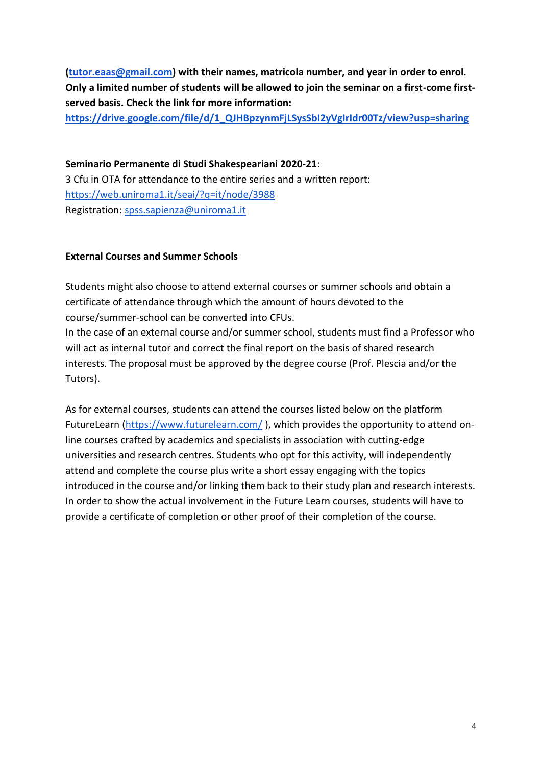**[\(tutor.eaas@gmail.com\)](mailto:tutor.eaas@gmail.com) with their names, matricola number, and year in order to enrol. Only a limited number of students will be allowed to join the seminar on a first-come firstserved basis. Check the link for more information:** 

**[https://drive.google.com/file/d/1\\_QJHBpzynmFjLSysSbI2yVgIrIdr00Tz/view?usp=sharing](https://drive.google.com/file/d/1_QJHBpzynmFjLSysSbI2yVgIrIdr00Tz/view?usp=sharing)**

**Seminario Permanente di Studi Shakespeariani 2020-21**: 3 Cfu in OTA for attendance to the entire series and a written report: <https://web.uniroma1.it/seai/?q=it/node/3988> Registration: [spss.sapienza@uniroma1.it](mailto:spss.sapienza@uniroma1.it)

## **External Courses and Summer Schools**

Students might also choose to attend external courses or summer schools and obtain a certificate of attendance through which the amount of hours devoted to the course/summer-school can be converted into CFUs.

In the case of an external course and/or summer school, students must find a Professor who will act as internal tutor and correct the final report on the basis of shared research interests. The proposal must be approved by the degree course (Prof. Plescia and/or the Tutors).

As for external courses, students can attend the courses listed below on the platform FutureLearn [\(https://www.futurelearn.com/](https://www.futurelearn.com/) ), which provides the opportunity to attend online courses crafted by academics and specialists in association with cutting-edge universities and research centres. Students who opt for this activity, will independently attend and complete the course plus write a short essay engaging with the topics introduced in the course and/or linking them back to their study plan and research interests. In order to show the actual involvement in the Future Learn courses, students will have to provide a certificate of completion or other proof of their completion of the course.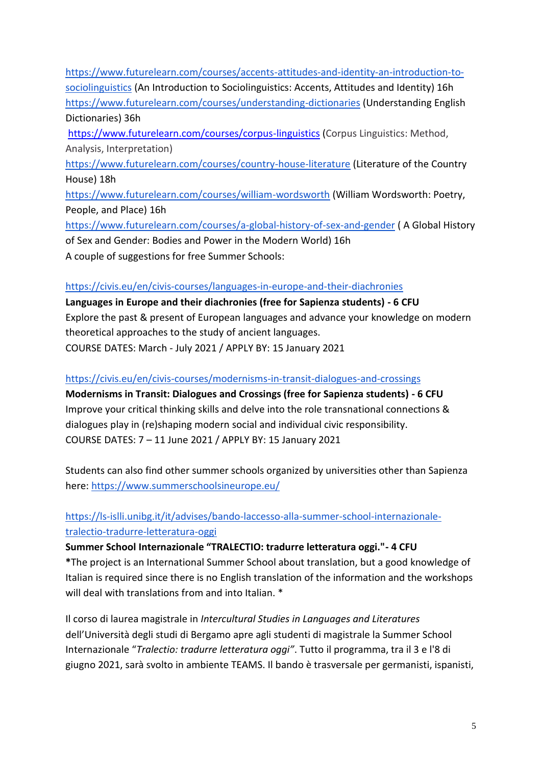[https://www.futurelearn.com/courses/accents-attitudes-and-identity-an-introduction-to](https://www.futurelearn.com/courses/accents-attitudes-and-identity-an-introduction-to-sociolinguistics)[sociolinguistics](https://www.futurelearn.com/courses/accents-attitudes-and-identity-an-introduction-to-sociolinguistics) (An Introduction to Sociolinguistics: Accents, Attitudes and Identity) 16h <https://www.futurelearn.com/courses/understanding-dictionaries> (Understanding English Dictionaries) 36h <https://www.futurelearn.com/courses/corpus-linguistics> (Corpus Linguistics: Method, Analysis, Interpretation) <https://www.futurelearn.com/courses/country-house-literature> (Literature of the Country House) 18h <https://www.futurelearn.com/courses/william-wordsworth> (William Wordsworth: Poetry, People, and Place) 16h <https://www.futurelearn.com/courses/a-global-history-of-sex-and-gender> ( A Global History of Sex and Gender: Bodies and Power in the Modern World) 16h A couple of suggestions for free Summer Schools:

## <https://civis.eu/en/civis-courses/languages-in-europe-and-their-diachronies>

**Languages in Europe and their diachronies (free for Sapienza students) - 6 CFU** Explore the past & present of European languages and advance your knowledge on modern theoretical approaches to the study of ancient languages. COURSE DATES: March - July 2021 / APPLY BY: 15 January 2021

## <https://civis.eu/en/civis-courses/modernisms-in-transit-dialogues-and-crossings>

**Modernisms in Transit: Dialogues and Crossings (free for Sapienza students) - 6 CFU** Improve your critical thinking skills and delve into the role transnational connections & dialogues play in (re)shaping modern social and individual civic responsibility. COURSE DATES: 7 – 11 June 2021 / APPLY BY: 15 January 2021

Students can also find other summer schools organized by universities other than Sapienza here:<https://www.summerschoolsineurope.eu/>

# [https://ls-islli.unibg.it/it/advises/bando-laccesso-alla-summer-school-internazionale](https://ls-islli.unibg.it/it/advises/bando-laccesso-alla-summer-school-internazionale-tralectio-tradurre-letteratura-oggi)[tralectio-tradurre-letteratura-oggi](https://ls-islli.unibg.it/it/advises/bando-laccesso-alla-summer-school-internazionale-tralectio-tradurre-letteratura-oggi)

## **Summer School Internazionale "TRALECTIO: tradurre letteratura oggi."- 4 CFU**

**\***The project is an International Summer School about translation, but a good knowledge of Italian is required since there is no English translation of the information and the workshops will deal with translations from and into Italian.  $*$ 

Il corso di laurea magistrale in *Intercultural Studies in Languages and Literatures* dell'Università degli studi di Bergamo apre agli studenti di magistrale la Summer School Internazionale "*Tralectio: tradurre letteratura oggi"*. Tutto il programma, tra il 3 e l'8 di giugno 2021, sarà svolto in ambiente TEAMS. Il bando è trasversale per germanisti, ispanisti,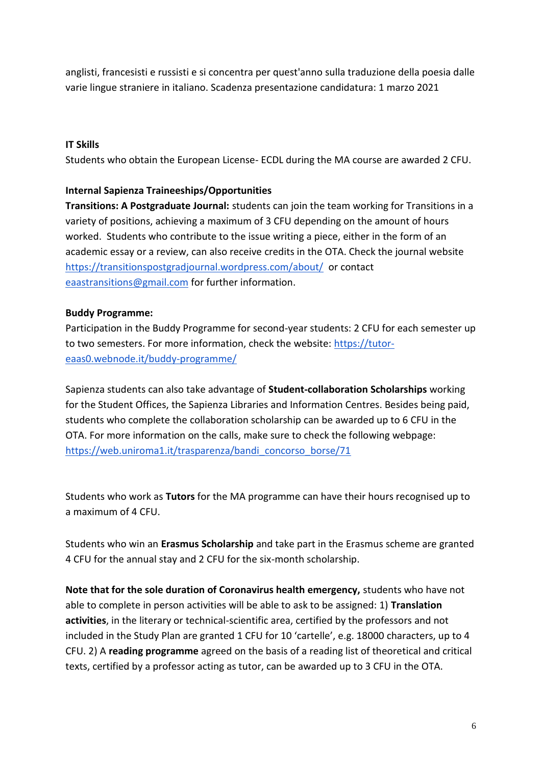anglisti, francesisti e russisti e si concentra per quest'anno sulla traduzione della poesia dalle varie lingue straniere in italiano. Scadenza presentazione candidatura: 1 marzo 2021

### **IT Skills**

Students who obtain the European License- ECDL during the MA course are awarded 2 CFU.

### **Internal Sapienza Traineeships/Opportunities**

**Transitions: A Postgraduate Journal:** students can join the team working for Transitions in a variety of positions, achieving a maximum of 3 CFU depending on the amount of hours worked. Students who contribute to the issue writing a piece, either in the form of an academic essay or a review, can also receive credits in the OTA. Check the journal website <https://transitionspostgradjournal.wordpress.com/about/>or contact [eaastransitions@gmail.com](mailto:eaastransitions@gmail.com) for further information.

### **Buddy Programme:**

Participation in the Buddy Programme for second-year students: 2 CFU for each semester up to two semesters. For more information, check the website: [https://tutor](https://tutor-eaas0.webnode.it/buddy-programme/)[eaas0.webnode.it/buddy-programme/](https://tutor-eaas0.webnode.it/buddy-programme/)

Sapienza students can also take advantage of **Student-collaboration Scholarships** working for the Student Offices, the Sapienza Libraries and Information Centres. Besides being paid, students who complete the collaboration scholarship can be awarded up to 6 CFU in the OTA. For more information on the calls, make sure to check the following webpage: [https://web.uniroma1.it/trasparenza/bandi\\_concorso\\_borse/71](https://web.uniroma1.it/trasparenza/bandi_concorso_borse/71)

Students who work as **Tutors** for the MA programme can have their hours recognised up to a maximum of 4 CFU.

Students who win an **Erasmus Scholarship** and take part in the Erasmus scheme are granted 4 CFU for the annual stay and 2 CFU for the six-month scholarship.

**Note that for the sole duration of Coronavirus health emergency,** students who have not able to complete in person activities will be able to ask to be assigned: 1) **Translation activities**, in the literary or technical-scientific area, certified by the professors and not included in the Study Plan are granted 1 CFU for 10 'cartelle', e.g. 18000 characters, up to 4 CFU. 2) A **reading programme** agreed on the basis of a reading list of theoretical and critical texts, certified by a professor acting as tutor, can be awarded up to 3 CFU in the OTA.